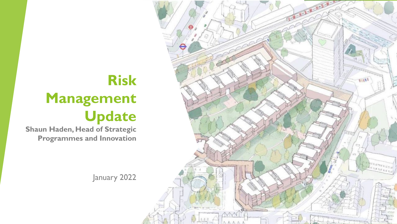

## **Risk Management Update**

**Shaun Haden, Head of Strategic Programmes and Innovation**

January 2022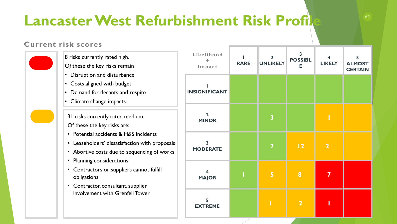## **Lancaster West Refurbishment Risk Profile**

## **Current risk scores**

| Likelihood<br>Impact                       | <b>RARE</b> | $\mathbf{2}$<br><b>UNLIKELY</b> | $\overline{\mathbf{3}}$<br><b>POSSIBL</b><br>Е | 4<br><b>LIKELY</b> | 5<br><b>ALMOST</b><br><b>CERTAIN</b> |
|--------------------------------------------|-------------|---------------------------------|------------------------------------------------|--------------------|--------------------------------------|
| <b>SIGNIFICANT</b>                         |             |                                 |                                                |                    |                                      |
| $\overline{2}$<br><b>MINOR</b>             |             | $\overline{\mathbf{3}}$         |                                                | Π                  |                                      |
| $\overline{\mathbf{3}}$<br><b>MODERATE</b> |             | 7                               | 12                                             | $\overline{2}$     |                                      |
| $\overline{\mathbf{4}}$<br><b>MAJOR</b>    |             | $\overline{\mathbf{5}}$         | 8                                              | 7                  |                                      |
| 5<br><b>EXTREME</b>                        |             |                                 | $\overline{2}$                                 |                    |                                      |